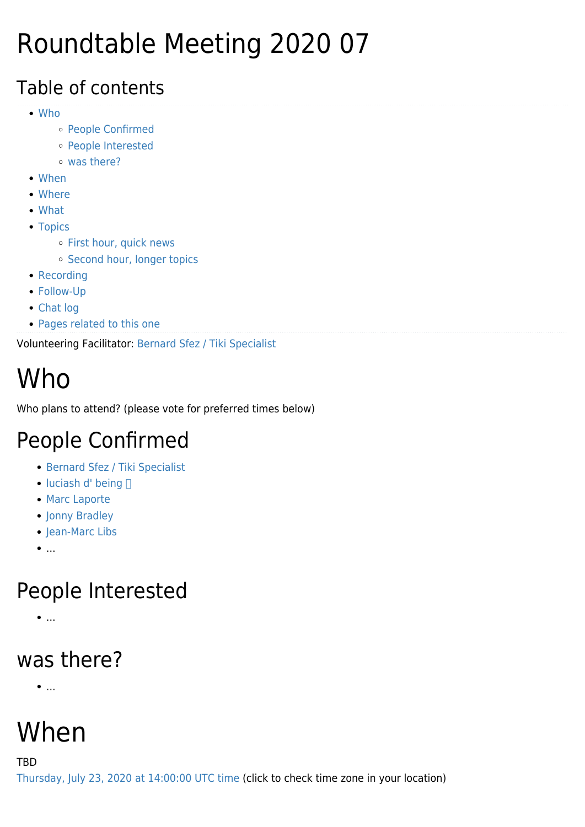## Roundtable Meeting 2020 07

#### Table of contents

- [Who](#page--1-0)
	- [People Confirmed](#page--1-0)
	- [People Interested](#page--1-0)
	- [was there?](#page--1-0)
- [When](#page--1-0)
- [Where](#page--1-0)
- [What](#page--1-0)
- [Topics](#page--1-0)
	- o [First hour, quick news](#page--1-0)
	- o [Second hour, longer topics](#page--1-0)
- [Recording](#page--1-0)
- [Follow-Up](#page--1-0)
- [Chat log](#page--1-0)
- [Pages related to this one](#page--1-0)

Volunteering Facilitator: [Bernard Sfez / Tiki Specialist](https://tiki.org/user1974)

# Who

Who plans to attend? (please vote for preferred times below)

#### People Confirmed

- [Bernard Sfez / Tiki Specialist](https://tiki.org/user1974)
- $\bullet$  [luciash d' being](https://tiki.org/user199)  $\Box$
- [Marc Laporte](https://tiki.org/user10)
- [Jonny Bradley](https://tiki.org/user8515)
- [Jean-Marc Libs](https://tiki.org/user12666)
- $\bullet$ ...

### People Interested

 $\bullet$ ...

#### was there?

 $\bullet$ ...

# When

TBD

[Thursday, July 23, 2020 at 14:00:00 UTC time](https://www.timeanddate.com/worldclock/fixedtime.html?year=2020&month=07&day=23&hour=14&min=0&sec=0) (click to check time zone in your location)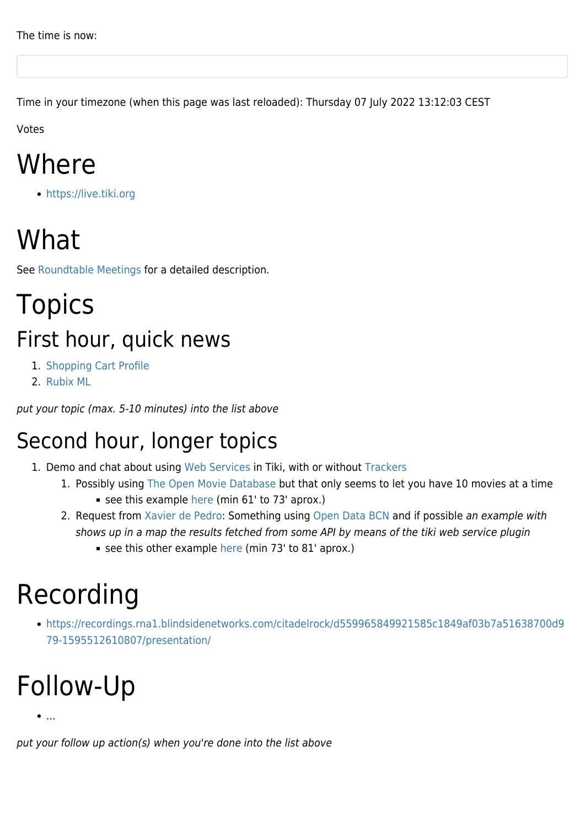Time in your timezone (when this page was last reloaded): Thursday 07 July 2022 13:12:03 CEST

Votes

## Where

<https://live.tiki.org>

## What

See [Roundtable Meetings](https://tiki.org/Roundtable-Meetings) for a detailed description.

### **Topics** First hour, quick news

- 1. [Shopping Cart Profile](http://profiles.tiki.org/Shopping_Cart)
- 2. [Rubix ML](http://dev.tiki.org/Rubix%20ML)

put your topic (max. 5-10 minutes) into the list above

#### Second hour, longer topics

- 1. Demo and chat about using [Web Services](http://doc.tiki.org/Web%20Services) in Tiki, with or without [Trackers](http://doc.tiki.org/Trackers)
	- 1. Possibly using [The Open Movie Database](https://www.omdbapi.com) but that only seems to let you have 10 movies at a time
		- see this example [here](https://recordings.rna1.blindsidenetworks.com/citadelrock/d559965849921585c1849af03b7a51638700d979-1595512610807/presentation/?t=61m30s) (min 61' to 73' aprox.)
	- 2. Request from [Xavier de Pedro](https://tiki.org/user10196): Something using [Open Data BCN](https://opendata-ajuntament.barcelona.cat) and if possible an example with shows up in a map the results fetched from some API by means of the tiki web service plugin
		- see this other example [here](https://recordings.rna1.blindsidenetworks.com/citadelrock/d559965849921585c1849af03b7a51638700d979-1595512610807/presentation/?t=73m00s) (min 73' to 81' aprox.)

## Recording

[https://recordings.rna1.blindsidenetworks.com/citadelrock/d559965849921585c1849af03b7a51638700d9](https://recordings.rna1.blindsidenetworks.com/citadelrock/d559965849921585c1849af03b7a51638700d979-1595512610807/presentation/) [79-1595512610807/presentation/](https://recordings.rna1.blindsidenetworks.com/citadelrock/d559965849921585c1849af03b7a51638700d979-1595512610807/presentation/)

# Follow-Up

...

put your follow up action(s) when you're done into the list above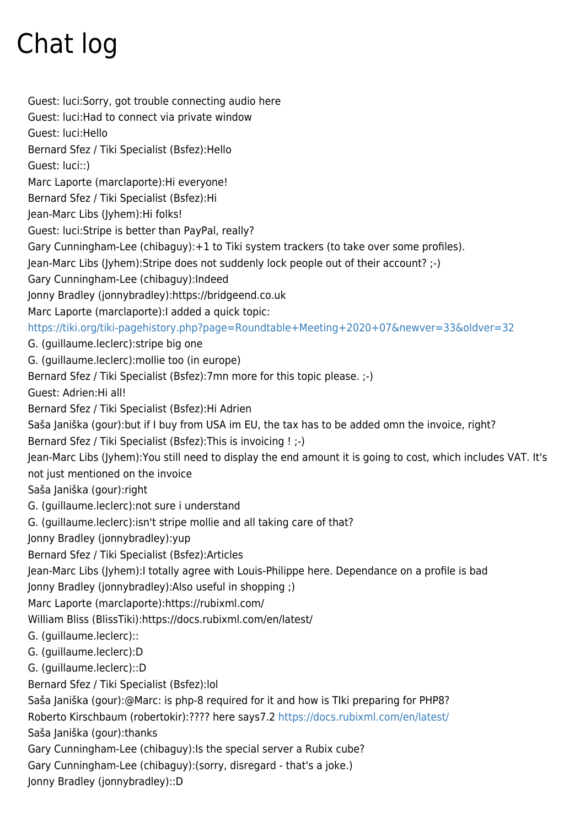# Chat log

Guest: luci:Sorry, got trouble connecting audio here Guest: luci:Had to connect via private window Guest: luci:Hello Bernard Sfez / Tiki Specialist (Bsfez):Hello Guest: luci::) Marc Laporte (marclaporte):Hi everyone! Bernard Sfez / Tiki Specialist (Bsfez):Hi Jean-Marc Libs (Jyhem):Hi folks! Guest: luci:Stripe is better than PayPal, really? Gary Cunningham-Lee (chibaguy):+1 to Tiki system trackers (to take over some profiles). Jean-Marc Libs (Jyhem):Stripe does not suddenly lock people out of their account? ;-) Gary Cunningham-Lee (chibaguy):Indeed Jonny Bradley (jonnybradley):https://bridgeend.co.uk Marc Laporte (marclaporte):I added a quick topic: <https://tiki.org/tiki-pagehistory.php?page=Roundtable+Meeting+2020+07&newver=33&oldver=32> G. (guillaume.leclerc):stripe big one G. (guillaume.leclerc):mollie too (in europe) Bernard Sfez / Tiki Specialist (Bsfez):7mn more for this topic please. ;-) Guest: Adrien:Hi all! Bernard Sfez / Tiki Specialist (Bsfez):Hi Adrien Saša Janiška (gour):but if I buy from USA im EU, the tax has to be added omn the invoice, right? Bernard Sfez / Tiki Specialist (Bsfez):This is invoicing ! ;-) Jean-Marc Libs (Jyhem):You still need to display the end amount it is going to cost, which includes VAT. It's not just mentioned on the invoice Saša Janiška (gour):right G. (guillaume.leclerc):not sure i understand G. (guillaume.leclerc):isn't stripe mollie and all taking care of that? Jonny Bradley (jonnybradley):yup Bernard Sfez / Tiki Specialist (Bsfez):Articles Jean-Marc Libs (Jyhem):I totally agree with Louis-Philippe here. Dependance on a profile is bad Jonny Bradley (jonnybradley):Also useful in shopping ;) Marc Laporte (marclaporte):https://rubixml.com/ William Bliss (BlissTiki):https://docs.rubixml.com/en/latest/ G. (guillaume.leclerc):: G. (guillaume.leclerc):D G. (guillaume.leclerc)::D Bernard Sfez / Tiki Specialist (Bsfez):lol Saša Janiška (gour):@Marc: is php-8 required for it and how is TIki preparing for PHP8? Roberto Kirschbaum (robertokir):???? here says7.2<https://docs.rubixml.com/en/latest/> Saša Janiška (gour):thanks Gary Cunningham-Lee (chibaguy):Is the special server a Rubix cube? Gary Cunningham-Lee (chibaguy):(sorry, disregard - that's a joke.) Jonny Bradley (jonnybradley)::D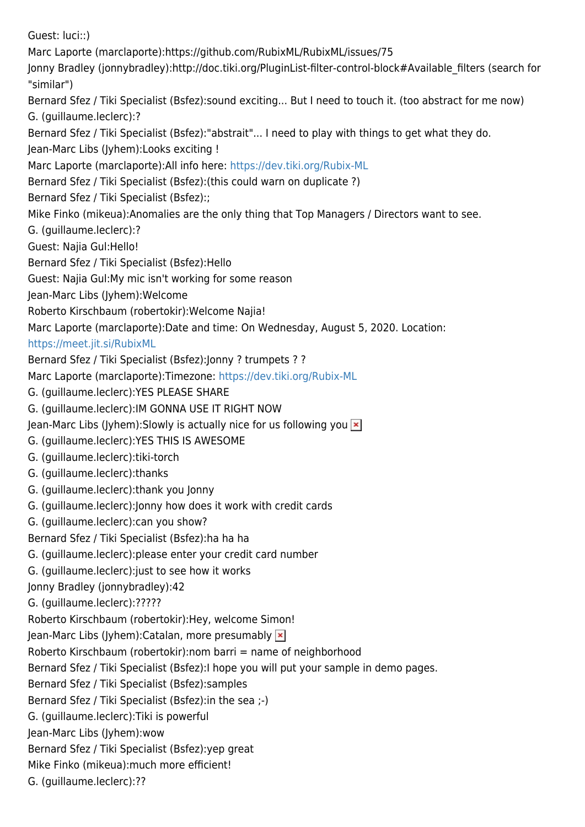Guest: luci::) Marc Laporte (marclaporte):https://github.com/RubixML/RubixML/issues/75 Jonny Bradley (jonnybradley):http://doc.tiki.org/PluginList-filter-control-block#Available\_filters (search for "similar") Bernard Sfez / Tiki Specialist (Bsfez):sound exciting... But I need to touch it. (too abstract for me now) G. (guillaume.leclerc):? Bernard Sfez / Tiki Specialist (Bsfez):"abstrait"... I need to play with things to get what they do. Jean-Marc Libs (Jyhem):Looks exciting ! Marc Laporte (marclaporte):All info here:<https://dev.tiki.org/Rubix-ML> Bernard Sfez / Tiki Specialist (Bsfez):(this could warn on duplicate ?) Bernard Sfez / Tiki Specialist (Bsfez):; Mike Finko (mikeua):Anomalies are the only thing that Top Managers / Directors want to see. G. (guillaume.leclerc):?️ Guest: Najia Gul:Hello! Bernard Sfez / Tiki Specialist (Bsfez):Hello Guest: Najia Gul:My mic isn't working for some reason Jean-Marc Libs (Jyhem):Welcome Roberto Kirschbaum (robertokir):Welcome Najia! Marc Laporte (marclaporte):Date and time: On Wednesday, August 5, 2020. Location: <https://meet.jit.si/RubixML> Bernard Sfez / Tiki Specialist (Bsfez):Jonny ? trumpets ? ? Marc Laporte (marclaporte):Timezone: <https://dev.tiki.org/Rubix-ML> G. (guillaume.leclerc):YES PLEASE SHARE G. (guillaume.leclerc):IM GONNA USE IT RIGHT NOW Jean-Marc Libs (Jyhem): Slowly is actually nice for us following you  $\overline{\mathbf{x}}$ G. (guillaume.leclerc):YES THIS IS AWESOME G. (guillaume.leclerc):tiki-torch G. (guillaume.leclerc):thanks G. (guillaume.leclerc):thank you Jonny G. (guillaume.leclerc):Jonny how does it work with credit cards G. (guillaume.leclerc):can you show? Bernard Sfez / Tiki Specialist (Bsfez):ha ha ha G. (guillaume.leclerc):please enter your credit card number G. (guillaume.leclerc):just to see how it works Jonny Bradley (jonnybradley):42 G. (guillaume.leclerc):????? Roberto Kirschbaum (robertokir):Hey, welcome Simon! Jean-Marc Libs (Jyhem):Catalan, more presumably Roberto Kirschbaum (robertokir):nom barri = name of neighborhood Bernard Sfez / Tiki Specialist (Bsfez):I hope you will put your sample in demo pages. Bernard Sfez / Tiki Specialist (Bsfez):samples Bernard Sfez / Tiki Specialist (Bsfez):in the sea ;-) G. (guillaume.leclerc):Tiki is powerful Jean-Marc Libs (Jyhem):wow Bernard Sfez / Tiki Specialist (Bsfez):yep great Mike Finko (mikeua):much more efficient! G. (guillaume.leclerc):??️